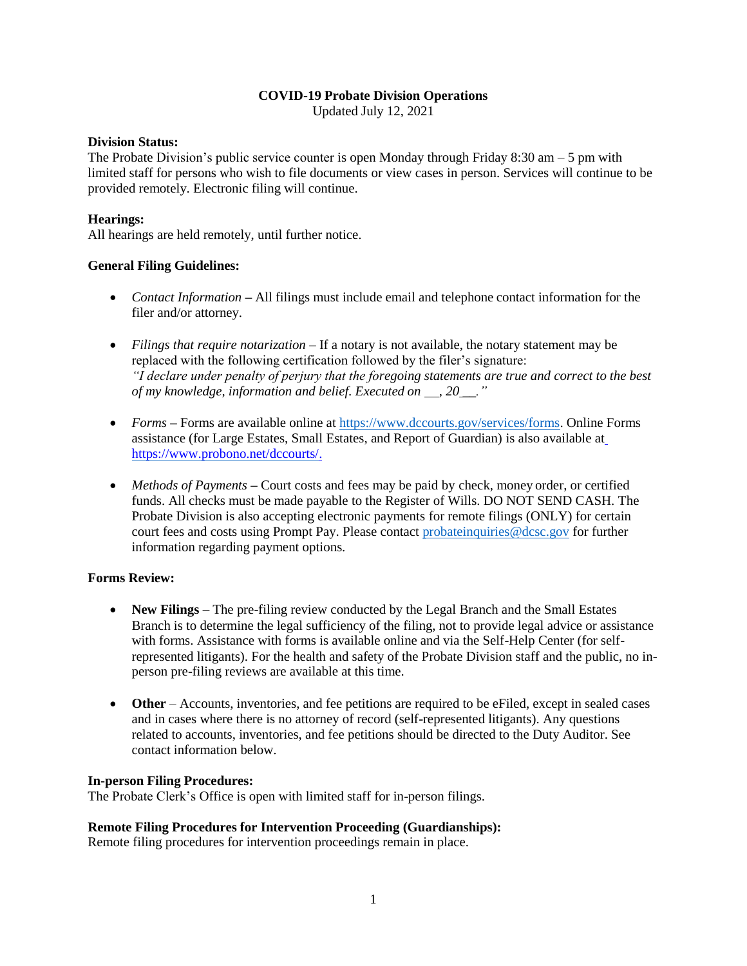### **COVID-19 Probate Division Operations**

Updated July 12, 2021

### **Division Status:**

The Probate Division's public service counter is open Monday through Friday 8:30 am  $-5$  pm with limited staff for persons who wish to file documents or view cases in person. Services will continue to be provided remotely. Electronic filing will continue.

# **Hearings:**

All hearings are held remotely, until further notice.

### **General Filing Guidelines:**

- *Contact Information* All filings must include email and telephone contact information for the filer and/or attorney.
- *Filings that require notarization* If a notary is not available, the notary statement may be replaced with the following certification followed by the filer's signature: *"I declare under penalty of perjury that the foregoing statements are true and correct to the best of my knowledge, information and belief. Executed on , 20 \_\_."*
- *Forms* Forms are available online at [https://www.dccourts.gov/services/forms.](https://www.dccourts.gov/services/forms) Online Forms assistance (for Large Estates, Small Estates, and Report of Guardian) is also available a[t](https://www.probono.net/dccourts/) [https://www.probono.net/dccourts/.](https://www.probono.net/dccourts/)
- *Methods of Payments* Court costs and fees may be paid by check, money order, or certified funds. All checks must be made payable to the Register of Wills. DO NOT SEND CASH. The Probate Division is also accepting electronic payments for remote filings (ONLY) for certain court fees and costs using Prompt Pay. Please contact [probateinquiries@dcsc.gov](mailto:probateinquries@dcsc.gov) for further information regarding payment options.

### **Forms Review:**

- New Filings The pre-filing review conducted by the Legal Branch and the Small Estates Branch is to determine the legal sufficiency of the filing, not to provide legal advice or assistance with forms. Assistance with forms is available online and via the Self-Help Center (for selfrepresented litigants). For the health and safety of the Probate Division staff and the public, no inperson pre-filing reviews are available at this time.
- **Other** Accounts, inventories, and fee petitions are required to be eFiled, except in sealed cases and in cases where there is no attorney of record (self-represented litigants). Any questions related to accounts, inventories, and fee petitions should be directed to the Duty Auditor. See contact information below.

### **In-person Filing Procedures:**

The Probate Clerk's Office is open with limited staff for in-person filings.

### **Remote Filing Procedures for Intervention Proceeding (Guardianships):**

Remote filing procedures for intervention proceedings remain in place.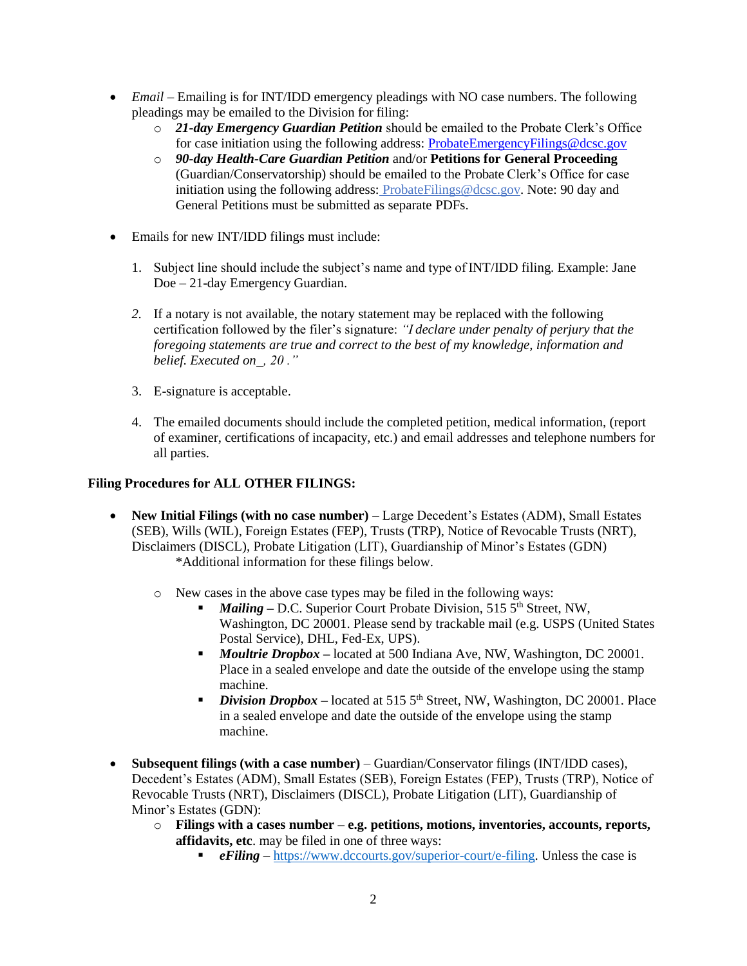- *Email Emailing is for INT/IDD emergency pleadings with NO case numbers. The following* pleadings may be emailed to the Division for filing:
	- o *21-day Emergency Guardian Petition* should be emailed to the Probate Clerk's Office for case initiation using the following address: [ProbateEmergencyFilings@dcsc.gov](mailto:ProbateEmergencyFilings@dcsc.gov)
	- o *90-day Health-Care Guardian Petition* and/or **Petitions for General Proceeding**  (Guardian/Conservatorship) should be emailed to the Probate Clerk's Office for case initiation using the following address: [ProbateFilings@dcsc.gov.](mailto:ProbateFilings@dcsc.gov) Note: 90 day and General Petitions must be submitted as separate PDFs.
- Emails for new INT/IDD filings must include:
	- 1. Subject line should include the subject's name and type of INT/IDD filing. Example: Jane Doe – 21-day Emergency Guardian.
	- *2.* If a notary is not available, the notary statement may be replaced with the following certification followed by the filer's signature: *"I declare under penalty of perjury that the foregoing statements are true and correct to the best of my knowledge, information and belief. Executed on , 20 ."*
	- 3. E-signature is acceptable.
	- 4. The emailed documents should include the completed petition, medical information, (report of examiner, certifications of incapacity, etc.) and email addresses and telephone numbers for all parties.

## **Filing Procedures for ALL OTHER FILINGS:**

- **New Initial Filings (with no case number) Large Decedent's Estates (ADM), Small Estates** (SEB), Wills (WIL), Foreign Estates (FEP), Trusts (TRP), Notice of Revocable Trusts (NRT), Disclaimers (DISCL), Probate Litigation (LIT), Guardianship of Minor's Estates (GDN) \*Additional information for these filings below.
	- o New cases in the above case types may be filed in the following ways:
		- *Mailing D.C.* Superior Court Probate Division, 515 5<sup>th</sup> Street, NW, Washington, DC 20001. Please send by trackable mail (e.g. USPS (United States Postal Service), DHL, Fed-Ex, UPS).
		- *Moultrie Dropbox –* located at 500 Indiana Ave, NW, Washington, DC 20001. Place in a sealed envelope and date the outside of the envelope using the stamp machine.
		- *Division Dropbox* located at 515 5<sup>th</sup> Street, NW, Washington, DC 20001. Place in a sealed envelope and date the outside of the envelope using the stamp machine.
- **Subsequent filings (with a case number)** Guardian/Conservator filings (INT/IDD cases), Decedent's Estates (ADM), Small Estates (SEB), Foreign Estates (FEP), Trusts (TRP), Notice of Revocable Trusts (NRT), Disclaimers (DISCL), Probate Litigation (LIT), Guardianship of Minor's Estates (GDN):
	- o **Filings with a cases number – e.g. petitions, motions, inventories, accounts, reports, affidavits, etc**. may be filed in one of three ways:
		- **•** *eFiling* [https://www.dccourts.gov/superior-court/e-filing.](https://www.dccourts.gov/superior-court/e-filing) Unless the case is